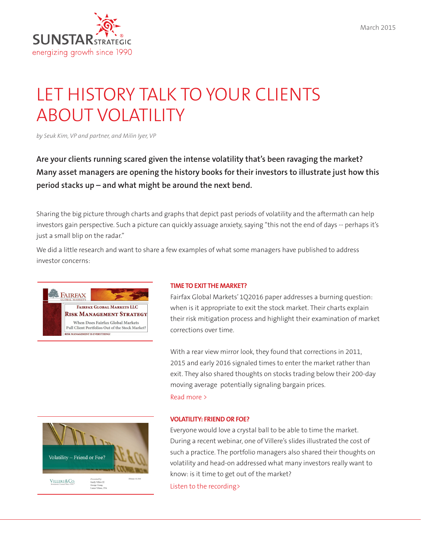

## March 2015

# LET HISTORY TALK TO YOUR CLIENTS ABOUT VOLATILITY

*by Seuk Kim, VP and partner, and Milin Iyer, VP*

**Are your clients running scared given the intense volatility that's been ravaging the market? Many asset managers are opening the history books for their investors to illustrate just how this period stacks up – and what might be around the next bend.**

Sharing the big picture through charts and graphs that depict past periods of volatility and the aftermath can help investors gain perspective. Such a picture can quickly assuage anxiety, saying "this not the end of days -- perhaps it's just a small blip on the radar."

We did a little research and want to share a few examples of what some managers have published to address investor concerns:



## **TIME TO EXIT THE MARKET?**

Fairfax Global Markets' 1Q2016 paper addresses a burning question: when is it appropriate to exit the stock market. Their charts explain their risk mitigation process and highlight their examination of market corrections over time.

With a rear view mirror look, they found that corrections in 2011, 2015 and early 2016 signaled times to enter the market rather than exit. They also shared thoughts on stocks trading below their 200-day moving average potentially signaling bargain prices. [Read more >](http://www.fairfax-global.com/site/files/___Fairfax_Global_Risk_Management_Defensive_Strategy_2016-01-18.pdf)



## **VOLATILITY: FRIEND OR FOE?**

Everyone would love a crystal ball to be able to time the market. During a recent webinar, one of Villere's slides illustrated the cost of such a practice. The portfolio managers also shared their thoughts on volatility and head-on addressed what many investors really want to know: is it time to get out of the market?

L[isten to the recording>](http://villere.com/media/video/Webinar_Volatility.mp4)